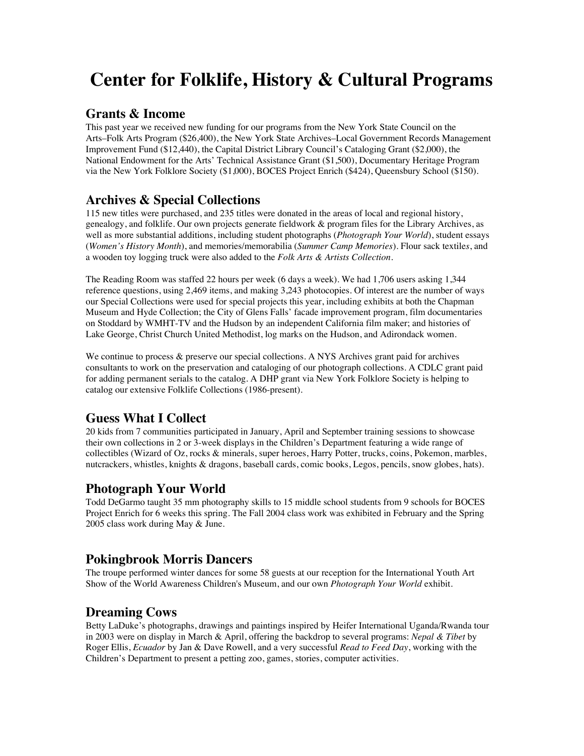# **Center for Folklife, History & Cultural Programs**

#### **Grants & Income**

This past year we received new funding for our programs from the New York State Council on the Arts–Folk Arts Program (\$26,400), the New York State Archives–Local Government Records Management Improvement Fund (\$12,440), the Capital District Library Council's Cataloging Grant (\$2,000), the National Endowment for the Arts' Technical Assistance Grant (\$1,500), Documentary Heritage Program via the New York Folklore Society (\$1,000), BOCES Project Enrich (\$424), Queensbury School (\$150).

# **Archives & Special Collections**

115 new titles were purchased, and 235 titles were donated in the areas of local and regional history, genealogy, and folklife. Our own projects generate fieldwork & program files for the Library Archives, as well as more substantial additions, including student photographs (*Photograph Your World*), student essays (*Women's History Month*), and memories/memorabilia (*Summer Camp Memories*). Flour sack textile*s*, and a wooden toy logging truck were also added to the *Folk Arts & Artists Collection*.

The Reading Room was staffed 22 hours per week (6 days a week). We had 1,706 users asking 1,344 reference questions, using 2,469 items, and making 3,243 photocopies. Of interest are the number of ways our Special Collections were used for special projects this year, including exhibits at both the Chapman Museum and Hyde Collection; the City of Glens Falls' facade improvement program, film documentaries on Stoddard by WMHT-TV and the Hudson by an independent California film maker; and histories of Lake George, Christ Church United Methodist, log marks on the Hudson, and Adirondack women.

We continue to process & preserve our special collections. A NYS Archives grant paid for archives consultants to work on the preservation and cataloging of our photograph collections. A CDLC grant paid for adding permanent serials to the catalog. A DHP grant via New York Folklore Society is helping to catalog our extensive Folklife Collections (1986-present).

# **Guess What I Collect**

20 kids from 7 communities participated in January, April and September training sessions to showcase their own collections in 2 or 3-week displays in the Children's Department featuring a wide range of collectibles (Wizard of Oz, rocks & minerals, super heroes, Harry Potter, trucks, coins, Pokemon, marbles, nutcrackers, whistles, knights & dragons, baseball cards, comic books, Legos, pencils, snow globes, hats).

# **Photograph Your World**

Todd DeGarmo taught 35 mm photography skills to 15 middle school students from 9 schools for BOCES Project Enrich for 6 weeks this spring. The Fall 2004 class work was exhibited in February and the Spring 2005 class work during May & June.

# **Pokingbrook Morris Dancers**

The troupe performed winter dances for some 58 guests at our reception for the International Youth Art Show of the World Awareness Children's Museum, and our own *Photograph Your World* exhibit.

# **Dreaming Cows**

Betty LaDuke's photographs, drawings and paintings inspired by Heifer International Uganda/Rwanda tour in 2003 were on display in March & April, offering the backdrop to several programs: *Nepal & Tibet* by Roger Ellis, *Ecuador* by Jan & Dave Rowell, and a very successful *Read to Feed Day*, working with the Children's Department to present a petting zoo, games, stories, computer activities.